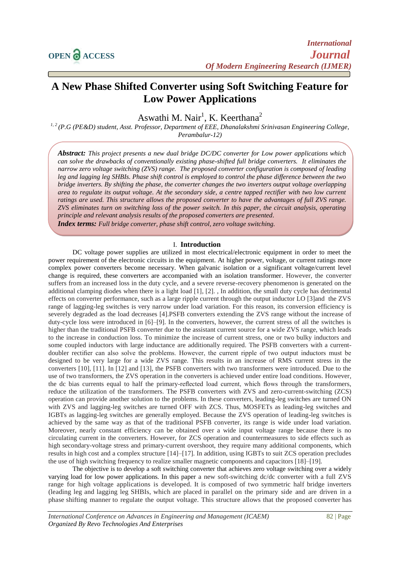# **A New Phase Shifted Converter using Soft Switching Feature for Low Power Applications**

Aswathi M. Nair<sup>1</sup>, K. Keerthana<sup>2</sup>

*1, 2 (P.G (PE&D) student, Asst. Professor, Department of EEE, Dhanalakshmi Srinivasan Engineering College, Perambalur-12)*

*Abstract: This project presents a new dual bridge DC/DC converter for Low power applications which can solve the drawbacks of conventionally existing phase-shifted full bridge converters. It eliminates the narrow zero voltage switching (ZVS) range. The proposed converter configuration is composed of leading leg and lagging leg SHBIs. Phase shift control is employed to control the phase difference between the two bridge inverters. By shifting the phase, the converter changes the two inverters output voltage overlapping area to regulate its output voltage. At the secondary side, a centre tapped rectifier with two low current ratings are used. This structure allows the proposed converter to have the advantages of full ZVS range. ZVS eliminates turn on switching loss of the power switch. In this paper, the circuit analysis, operating principle and relevant analysis results of the proposed converters are presented.*

*Index terms: Full bridge converter, phase shift control, zero voltage switching.*

#### I. **Introduction**

DC voltage power supplies are utilized in most electrical/electronic equipment in order to meet the power requirement of the electronic circuits in the equipment. At higher power, voltage, or current ratings more complex power converters become necessary. When galvanic isolation or a significant voltage/current level change is required, these converters are accompanied with an isolation transformer. However, the converter suffers from an increased loss in the duty cycle, and a severe reverse-recovery phenomenon is generated on the additional clamping diodes when there is a light load [1], [2]. , In addition, the small duty cycle has detrimental effects on converter performance, such as a large ripple current through the output inductor LO [3]and the ZVS range of lagging-leg switches is very narrow under load variation. For this reason, its conversion efficiency is severely degraded as the load decreases [4].PSFB converters extending the ZVS range without the increase of duty-cycle loss were introduced in [6]–[9]. In the converters, however, the current stress of all the switches is higher than the traditional PSFB converter due to the assistant current source for a wide ZVS range, which leads to the increase in conduction loss. To minimize the increase of current stress, one or two bulky inductors and some coupled inductors with large inductance are additionally required. The PSFB converters with a currentdoubler rectifier can also solve the problems. However, the current ripple of two output inductors must be designed to be very large for a wide ZVS range. This results in an increase of RMS current stress in the converters [10], [11]. In [12] and [13], the PSFB converters with two transformers were introduced. Due to the use of two transformers, the ZVS operation in the converters is achieved under entire load conditions. However, the dc bias currents equal to half the primary-reflected load current, which flows through the transformers, reduce the utilization of the transformers. The PSFB converters with ZVS and zero-current-switching (ZCS) operation can provide another solution to the problems. In these converters, leading-leg switches are turned ON with ZVS and lagging-leg switches are turned OFF with ZCS. Thus, MOSFETs as leading-leg switches and IGBTs as lagging-leg switches are generally employed. Because the ZVS operation of leading-leg switches is achieved by the same way as that of the traditional PSFB converter, its range is wide under load variation. Moreover, nearly constant efficiency can be obtained over a wide input voltage range because there is no circulating current in the converters. However, for ZCS operation and countermeasures to side effects such as high secondary-voltage stress and primary-current overshoot, they require many additional components, which results in high cost and a complex structure [14]–[17]. In addition, using IGBTs to suit ZCS operation precludes the use of high switching frequency to realize smaller magnetic components and capacitors [18]–[19].

The objective is to develop a soft switching converter that achieves zero voltage switching over a widely varying load for low power applications. In this paper a new soft-switching dc/dc converter with a full ZVS range for high voltage applications is developed. It is composed of two symmetric half bridge inverters (leading leg and lagging leg SHBIs, which are placed in parallel on the primary side and are driven in a phase shifting manner to regulate the output voltage. This structure allows that the proposed converter has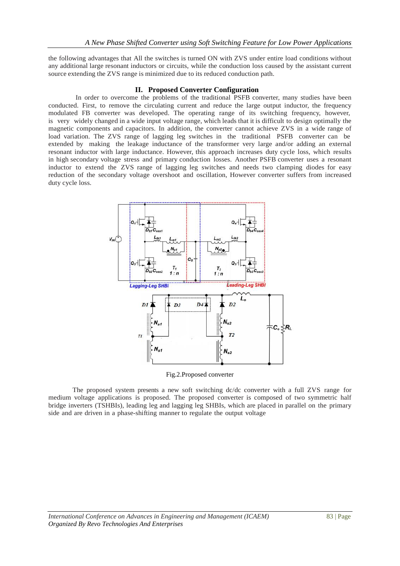the following advantages that All the switches is turned ON with ZVS under entire load conditions without any additional large resonant inductors or circuits, while the conduction loss caused by the assistant current source extending the ZVS range is minimized due to its reduced conduction path.

## **II. Proposed Converter Configuration**

In order to overcome the problems of the traditional PSFB converter, many studies have been conducted. First, to remove the circulating current and reduce the large output inductor, the frequency modulated FB converter was developed. The operating range of its switching frequency, however, is very widely changed in a wide input voltage range, which leads that it is difficult to design optimally the magnetic components and capacitors. In addition, the converter cannot achieve ZVS in a wide range of load variation. The ZVS range of lagging leg switches in the traditional PSFB converter can be extended by making the leakage inductance of the transformer very large and/or adding an external resonant inductor with large inductance. However, this approach increases duty cycle loss, which results in high secondary voltage stress and primary conduction losses. Another PSFB converter uses a resonant inductor to extend the ZVS range of lagging leg switches and needs two clamping diodes for easy reduction of the secondary voltage overshoot and oscillation, However converter suffers from increased duty cycle loss.



Fig.2.Proposed converter

The proposed system presents a new soft switching dc/dc converter with a full ZVS range for medium voltage applications is proposed. The proposed converter is composed of two symmetric half bridge inverters (TSHBIs), leading leg and lagging leg SHBIs, which are placed in parallel on the primary side and are driven in a phase-shifting manner to regulate the output voltage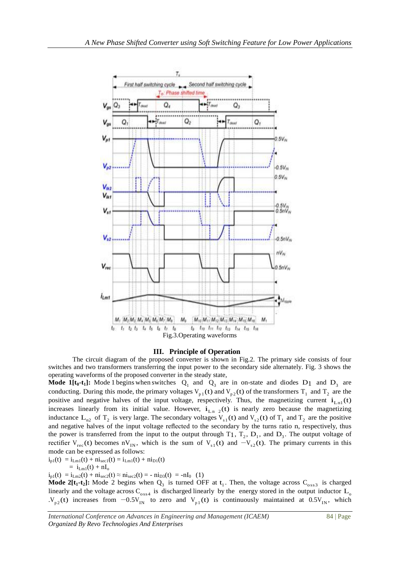

#### **III. Principle of Operation**

The circuit diagram of the proposed converter is shown in Fig.2. The primary side consists of four switches and two transformers transferring the input power to the secondary side alternately. Fig. 3 shows the operating waveforms of the proposed converter in the steady state,

**Mode 1[t<sub>0</sub>-t<sub>1</sub>]:** Mode 1 begins when switches  $Q_1$  and  $Q_3$  are in on-state and diodes D<sub>1</sub> and D<sub>3</sub> are conducting. During this mode, the primary voltages  $V_{p_1}(t)$  and  $V_{p_2}(t)$  of the transformers  $T_1$  and  $T_2$  are the positive and negative halves of the input voltage, respectively. Thus, the magnetizing current  $i_{L_m}$  (t) increases linearly from its initial value. However,  $i_{L_m 2}(t)$  is nearly zero because the magnetizing inductance  $L_{m2}$  of  $T_2$  is very large. The secondary voltages  $V_{s1}(t)$  and  $V_{s2}(t)$  of  $T_1$  and  $T_2$  are the positive and negative halves of the input voltage reflected to the secondary by the turns ratio n, respectively, thus the power is transferred from the input to the output through  $T_1$ ,  $T_2$ ,  $D_1$ , and  $D_3$ . The output voltage of rectifier  $V_{rec}(t)$  becomes n $V_{IN}$ , which is the sum of  $V_{s1}(t)$  and  $-V_{s2}(t)$ . The primary currents in this mode can be expressed as follows:

$$
i_{p1}(t) = i_{Lm1}(t) + ni_{\text{sec1}}(t) = i_{Lm1}(t) + ni_{D1}(t)
$$
  
=  $i_{Lm1}(t) + nI_0$ 

 $i_{p1}(t) = i_{Lm2}(t) + ni_{sec2}(t) \approx ni_{sec2}(t) = -ni_{D3}(t) = -nI_0$  (1)

**Mode 2** $\text{tr}_{1}$ **+t**<sub>2</sub>): Mode 2 begins when  $Q_3$  is turned OFF at t<sub>1</sub>. Then, the voltage across C<sub>oss3</sub> is charged linearly and the voltage across  $C_{\text{loss4}}$  is discharged linearly by the energy stored in the output inductor  $L_0$  $.V_{p2}(t)$  increases from  $-0.5V_{IN}$  to zero and  $V_{p1}(t)$  is continuously maintained at  $0.5V_{IN}$ , which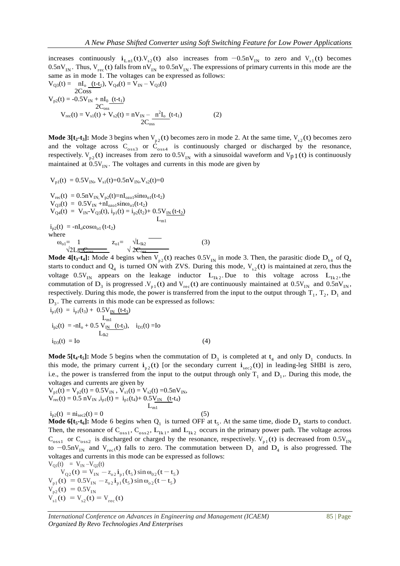increases continuously  $i_{L_m}$  (t). $V_{s2}$  (t) also increases from  $-0.5nV_{IN}$  to zero and  $V_{s1}$  (t) becomes  $0.5nV_{IN}$ . Thus,  $V_{rec}$  (t) falls from  $nV_{IN}$  to  $0.5nV_{IN}$ . The expressions of primary currents in this mode are the same as in mode 1. The voltages can be expressed as follows:

$$
V_{Q3}(t) = nI_o \underbrace{(t-t_1)}_{2Coss}, V_{Q4}(t) = V_{IN} - V_{Q3}(t)
$$
  
\n
$$
V_{p2}(t) = -0.5V_{IN} + nI_0 \underbrace{(t-t_1)}_{2C_{oss}}
$$
  
\n
$$
V_{rec}(t) = V_{s1}(t) + V_{s2}(t) = nV_{IN} - \frac{n^2I_o}{2C_{oss}}(t-t_1)
$$
 (2)

**Mode 3[** $t_2$ **-** $t_3$ **]: Mode 3 begins when**  $V_{p2}(t)$  **becomes zero in mode 2. At the same time,**  $V_{s2}(t)$  **becomes zero** and the voltage across  $C_{\text{oss}3}$  or  $C_{\text{oss}4}$  is continuously charged or discharged by the resonance, respectively.  $V_{p2}(t)$  increases from zero to 0.5 $V_{IN}$  with a sinusoidal waveform and  $V_{p1}(t)$  is continuously maintained at  $0.5V_{IN}$ . The voltages and currents in this mode are given by

$$
V_{p1}(t) = 0.5V_{IN}, V_{s1}(t)=0.5nV_{IN}, V_{s2}(t)=0
$$
  
\n
$$
V_{rec}(t) = 0.5nV_{IN}, V_{p2}(t)=nI_{ozo1}sin\omega_{o1}(t-t_2)
$$
  
\n
$$
V_{Q3}(t) = 0.5V_{IN} +nI_{ozo1}sin\omega_{o1}(t-t_2)
$$
  
\n
$$
V_{Q4}(t) = V_{IN} - V_{Q3}(t), i_{p1}(t) = i_{p2}(t_2) + 0.5V_{IN}(t-t_2)
$$
  
\n
$$
i_{p2}(t) = -nI_{o}cos\omega_{o1}(t-t_2)
$$
  
\nwhere  
\n
$$
\omega_{o1} = 1 \t Z_{o1} = \sqrt{L_{Ik2}}
$$
  
\n
$$
\sqrt{2L_{Ik2}C_{oss}}
$$
  
\n(3)

**Mode 4[t<sub>3</sub>-t<sub>4</sub>]:** Mode 4 begins when  $V_{p_2}(t)$  reaches  $0.5V_{IN}$  in mode 3. Then, the parasitic diode  $D_{b4}$  of  $Q_4$ starts to conduct and  $Q_4$  is turned ON with ZVS. During this mode,  $V_{s2}(t)$  is maintained at zero, thus the voltage  $0.5V_{IN}$  appears on the leakage inductor  $L_{1k2}$ . Due to this voltage across  $L_{1k2}$ , the commutation of D<sub>3</sub> is progressed .V<sub>p1</sub>(t) and V<sub>rec</sub>(t) are continuously maintained at  $0.5V_{IN}$  and  $0.5nV_{IN}$ , respectively. During this mode, the power is transferred from the input to the output through  $T_1$ ,  $T_2$ ,  $D_1$  and  $D_3$ . The currents in this mode can be expressed as follows:

$$
i_{p1}(t) = i_{p1}(t_3) + 0.5V_{IN} \t L_{m1}
$$
  
\n
$$
i_{p2}(t) = -nI_0 + 0.5 V_{IN} \t (t-t_3), \t i_{D1}(t) = Io
$$
  
\n
$$
i_{D3}(t) = Io
$$
 (4)

**Mode 5[** $t_4$ **-** $t_5$ **]: Mode 5 begins when the commutation of**  $D_3$  **is completed at**  $t_4$  **and only**  $D_1$  **conducts. In** this mode, the primary current  $i_{p2}(t)$  [or the secondary current  $i_{\text{sec2}}(t)$ ] in leading-leg SHBI is zero, i.e., the power is transferred from the input to the output through only  $T_1$  and  $D_1$ . During this mode, the voltages and currents are given by

$$
V_{p1}(t) = V_{p2}(t) = 0.5V_{IN}, V_{s1}(t) = V_{s2}(t) = 0.5nV_{IN},
$$
  
\n
$$
V_{rec}(t) = 0.5 nV_{IN}, i_{p1}(t) = i_{p1}(t_4) + 0.5V_{IN} \quad (t-t_4)
$$
  
\n
$$
L_{m1}
$$
  
\n
$$
i_{p2}(t) = ni_{sec2}(t) = 0
$$
\n(5)

**Mode 6[t<sub>5</sub>-t<sub>6</sub>]:** Mode 6 begins when  $Q_1$  is turned OFF at t<sub>5</sub>. At the same time, diode  $D_4$  starts to conduct. Then, the resonance of  $C_{oss1}$ ,  $C_{oss2}$ ,  $L_{1k1}$ , and  $L_{1k2}$  occurs in the primary power path. The voltage across  $C_{\text{oss1}}$  or  $C_{\text{oss2}}$  is discharged or charged by the resonance, respectively.  $V_{p1}(t)$  is decreased from 0.5V<sub>IN</sub> to  $-0.5$ nV<sub>IN</sub> and V<sub>rec</sub>(t) falls to zero. The commutation between D<sub>1</sub> and D<sub>4</sub> is also progressed. The voltages and currents in this mode can be expressed as follows:

$$
V_{Q1}(t) = V_{IN} - V_{Q2}(t)
$$
  
\n
$$
V_{Q2}(t) = V_{IN} - z_{o2}i_{p1}(t_5) \sin \omega_{02}(t - t_5)
$$
  
\n
$$
V_{p1}(t) = 0.5V_{IN} - z_{o2}i_{p1}(t_5) \sin \omega_{o2}(t - t_5)
$$
  
\n
$$
V_{p2}(t) = 0.5V_{IN}
$$
  
\n
$$
V_{s1}(t) = V_{s2}(t) = V_{rec}(t)
$$

*International Conference on Advances in Engineering and Management (ICAEM)* 85 | Page *Organized By Revo Technologies And Enterprises*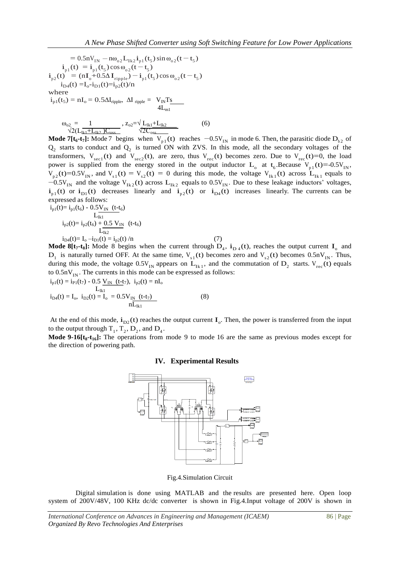$= 0.5$ nV<sub>IN</sub>  $-$  n $\omega_{02}L_{1k2}$ **i**<sub>p1</sub>(t<sub>5</sub>) sin  $\omega_{02}$ (t  $-t_5$ )  $i_{p1}(t) = i_{p1}(t_5) \cos \omega_{02}(t-t_5)$  $i_{p2}(t) = (nI_0 + 0.5\Delta I_{\text{ripple}}) - i_{p1}(t_5)\cos\omega_{0.2}(t - t_5)$  $i_{D4}(t) = I_0 - i_{D1}(t) = i_{p2}(t)/n$ where  $i_{p1}(t_5) = nI_o = 0.5\Delta I_{\text{ripple}}$ ,  $\Delta I_{\text{ripple}} = V_{\text{IN}}T_{\text{S}}$  $4L_{m1}$  $\omega_{02} = 1$  ,  $z_{02} = \sqrt{L_{1k1} + L_{1k2}}$  (6)

$$
\frac{\omega_{02}}{\sqrt{2}(\text{L}_{\text{lk1}}+\text{L}_{\text{lk2}})\text{C}_{\text{oss}}}, \frac{z_{02} = \sqrt{\text{L}_{\text{lk1}}+\text{L}_{\text{lk2}}}}{\sqrt{2\text{C}_{\text{oss}}}}
$$

**Mode 7[t<sub>6</sub>-t<sub>7</sub>]:** Mode 7 begins when  $V_{p_1}(t)$  reaches  $-0.5V_{1N}$  in mode 6. Then, the parasitic diode  $D_{b2}$  of  $Q_2$  starts to conduct and  $Q_2$  is turned ON with ZVS. In this mode, all the secondary voltages of the transformers,  $V_{sec1}(t)$  and  $V_{sec2}(t)$ , are zero, thus  $V_{rec}(t)$  becomes zero. Due to  $V_{rec}(t)=0$ , the load power is supplied from the energy stored in the output inductor  $L_0$  at  $t_6$ . Because  $V_{p_1}(t) = -0.5V_{IN}$ ,  $V_{p2}(t) = 0.5V_{IN}$ , and  $V_{s1}(t) = V_{s2}(t) = 0$  during this mode, the voltage  $V_{1k1}(t)$  across  $L_{1k1}$  equals to  $-0.5V_{IN}$  and the voltage V<sub>1k2</sub>(t) across L<sub>1k2</sub> equals to 0.5V<sub>IN</sub>. Due to these leakage inductors' voltages,  $i_{p_1}(t)$  or  $i_{D_1}(t)$  decreases linearly and  $i_{p_2}(t)$  or  $i_{D_4}(t)$  increases linearly. The currents can be expressed as follows:  $i_{p1}(t)=i_{p1}(t_{6})-0.5V_{\text{N}}$  (t-t-)

$$
i_{p1}(t) = i_{p1}(t_6) - 0.5 \frac{V_{IN}}{L_{IR1}} \quad (t - t_6)
$$
  
\n
$$
i_{p2}(t) = i_{p2}(t_6) + 0.5 V_{IN} \quad (t - t_6)
$$
  
\n
$$
L_{IR2}
$$
  
\n
$$
i_{D4}(t) = I_0 - i_{D1}(t) = i_{p2}(t) / n
$$
 (7)

**Mode 8** $[t_7-t_8]$ : Mode 8 begins when the current through  $D_4$ ,  $i_D_4(t)$ , reaches the output current  $I_0$  and  $D_1$  is naturally turned OFF. At the same time,  $V_{s1}(t)$  becomes zero and  $V_{s2}(t)$  becomes 0.5n $V_{IN}$ . Thus, during this mode, the voltage  $0.5V_{IN}$  appears on  $L_{1k1}$ , and the commutation of  $D_2$  starts.  $V_{rec}$  (t) equals to  $0.5nV<sub>IN</sub>$ . The currents in this mode can be expressed as follows:

$$
i_{p1}(t) = i_{P1}(t_{7}) - 0.5 \underbrace{V_{IN} (t-t_{7})}_{L_{Ikl}}, i_{p2}(t) = nI_{o}
$$
  
\n
$$
i_{D4}(t) = I_{o}, i_{D2}(t) = I_{o} = 0.5 V_{IN} (t-t_{7})
$$
  
\n
$$
nL_{Ikl}
$$
 (8)

At the end of this mode,  $i_{D2}(t)$  reaches the output current  $I_0$ . Then, the power is transferred from the input to the output through  $T_1$ ,  $T_2$ ,  $D_2$ , and  $D_4$ .

**Mode 9-16[t<sub>8</sub>-t<sub>16</sub>]:** The operations from mode 9 to mode 16 are the same as previous modes except for the direction of powering path.

### **IV. Experimental Results**



Fig.4.Simulation Circuit

Digital simulation is done using MATLAB and the results are presented here. Open loop system of 200V/48V, 100 KHz dc/dc converter is shown in Fig.4.Input voltage of 200V is shown in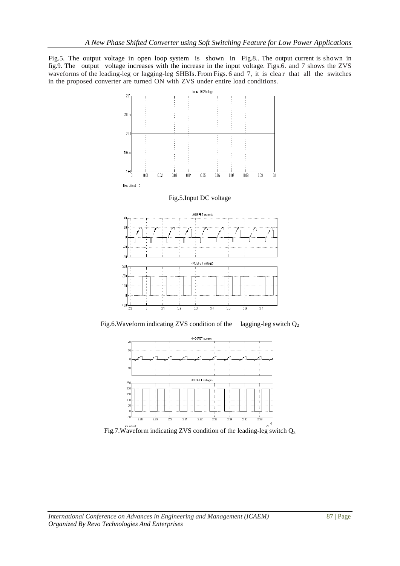Fig.5. The output voltage in open loop system is shown in Fig.8.. The output current is shown in fig.9. The output voltage increases with the increase in the input voltage. Figs.6. and 7 shows the ZVS waveforms of the leading-leg or lagging-leg SHBIs. From Figs. 6 and 7, it is clear that all the switches in the proposed converter are turned ON with ZVS under entire load conditions.







Fig.7. Waveform indicating ZVS condition of the leading-leg switch  $Q_3$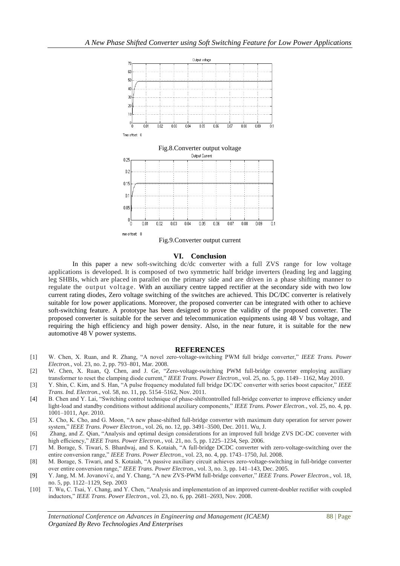

#### **VI. Conclusion**

In this paper a new soft-switching dc/dc converter with a full ZVS range for low voltage applications is developed. It is composed of two symmetric half bridge inverters (leading leg and lagging leg SHBIs, which are placed in parallel on the primary side and are driven in a phase shifting manner to regulate the output voltage. With an auxiliary centre tapped rectifier at the secondary side with two low current rating diodes, Zero voltage switching of the switches are achieved. This DC/DC converter is relatively suitable for low power applications. Moreover, the proposed converter can be integrated with other to achieve soft-switching feature. A prototype has been designed to prove the validity of the proposed converter. The proposed converter is suitable for the server and telecommunication equipments using 48 V bus voltage, and requiring the high efficiency and high power density. Also, in the near future, it is suitable for the new automotive 48 V power systems.

#### **REFERENCES**

- [1] W. Chen, X. Ruan, and R. Zhang, "A novel zero-voltage-switching PWM full bridge converter," *IEEE Trans. Power Electron.*, vol. 23, no. 2, pp. 793–801, Mar. 2008.
- [2] W. Chen, X. Ruan, Q. Chen, and J. Ge, "Zero-voltage-switching PWM full-bridge converter employing auxiliary transformer to reset the clamping diode current," *IEEE Trans. Power Electron.*, vol. 25, no. 5, pp. 1149– 1162, May 2010.
- [3] Y. Shin, C. Kim, and S. Han, "A pulse frequency modulated full bridge DC/DC converter with series boost capacitor," *IEEE Trans. Ind. Electron.*, vol. 58, no. 11, pp. 5154–5162, Nov. 2011.
- [4] B. Chen and Y. Lai, "Switching control technique of phase-shiftcontrolled full-bridge converter to improve efficiency under light-load and standby conditions without additional auxiliary components," *IEEE Trans. Power Electron.*, vol. 25, no. 4, pp. 1001–1011, Apr. 2010.
- [5] X. Cho, K. Cho, and G. Moon, "A new phase-shifted full-bridge converter with maximum duty operation for server power system," *IEEE Trans. Power Electron.*, vol. 26, no. 12, pp. 3491–3500, Dec. 2011. Wu, J.
- [6] Zhang, and Z. Qian, "Analysis and optimal design considerations for an improved full bridge ZVS DC-DC converter with high efficiency," *IEEE Trans. Power Electron.*, vol. 21, no. 5, pp. 1225–1234, Sep. 2006.
- [7] M. Borage, S. Tiwari, S. Bhardwaj, and S. Kotaiah, "A full-bridge DCDC converter with zero-voltage-switching over the entire conversion range," *IEEE Trans. Power Electron.*, vol. 23, no. 4, pp. 1743–1750, Jul. 2008.
- [8] M. Borage, S. Tiwari, and S. Kotaiah, "A passive auxiliary circuit achieves zero-voltage-switching in full-bridge converter over entire conversion range," *IEEE Trans. Power Electron.*, vol. 3, no. 3, pp. 141–143, Dec. 2005.
- [9] Y. Jang, M. M. Jovanovi´c, and Y. Chang, "A new ZVS-PWM full-bridge converter," *IEEE Trans. Power Electron.*, vol. 18, no. 5, pp. 1122–1129, Sep. 2003
- [10] T. Wu, C. Tsai, Y. Chang, and Y. Chen, "Analysis and implementation of an improved current-doubler rectifier with coupled inductors," *IEEE Trans. Power Electron.*, vol. 23, no. 6, pp. 2681–2693, Nov. 2008.

*International Conference on Advances in Engineering and Management (ICAEM)* 88 | Page *Organized By Revo Technologies And Enterprises*